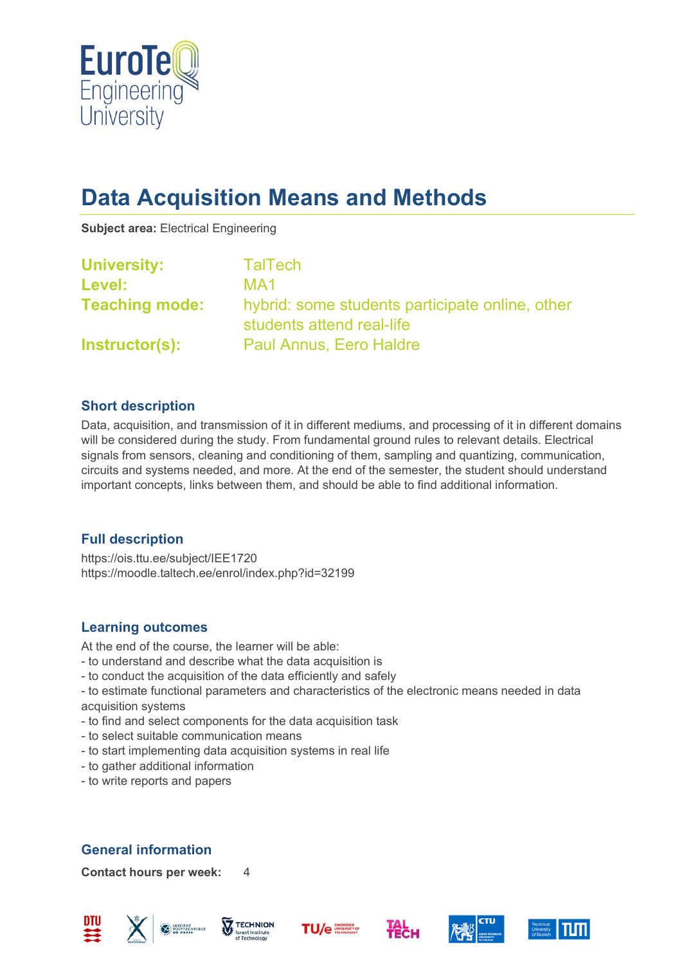

# **Data Acquisition Means and Methods**

**Subject area:** Electrical Engineering

| <b>University:</b>    | <b>TalTech</b>                                                               |
|-----------------------|------------------------------------------------------------------------------|
| Level:                | MA1                                                                          |
| <b>Teaching mode:</b> | hybrid: some students participate online, other<br>students attend real-life |
| Instructor(s):        | <b>Paul Annus, Eero Haldre</b>                                               |

### **Short description**

Data, acquisition, and transmission of it in different mediums, and processing of it in different domains will be considered during the study. From fundamental ground rules to relevant details. Electrical signals from sensors, cleaning and conditioning of them, sampling and quantizing, communication, circuits and systems needed, and more. At the end of the semester, the student should understand important concepts, links between them, and should be able to find additional information.

## **Full description**

https://ois.ttu.ee/subject/IEE1720 https://moodle.taltech.ee/enrol/index.php?id=32199

## **Learning outcomes**

At the end of the course, the learner will be able:

- to understand and describe what the data acquisition is
- to conduct the acquisition of the data efficiently and safely
- to estimate functional parameters and characteristics of the electronic means needed in data acquisition systems
- to find and select components for the data acquisition task
- to select suitable communication means
- to start implementing data acquisition systems in real life
- to gather additional information
- to write reports and papers

# **General information**

**Contact hours per week:** 4











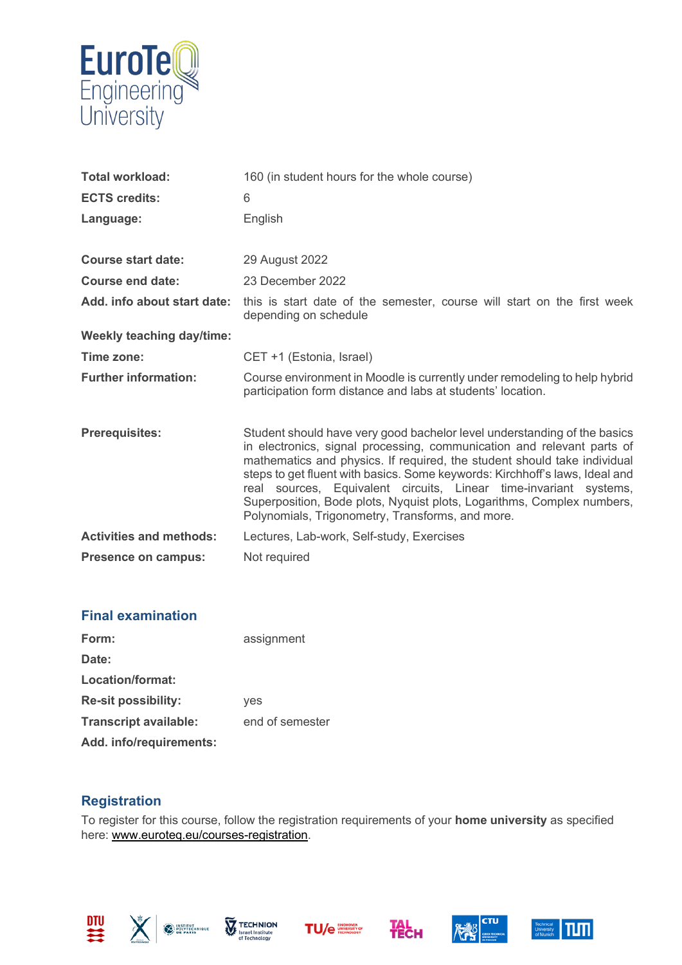

| <b>Total workload:</b>           | 160 (in student hours for the whole course)                                                                                                                                                                                                                                                                                                                                                                                                                                                                      |  |
|----------------------------------|------------------------------------------------------------------------------------------------------------------------------------------------------------------------------------------------------------------------------------------------------------------------------------------------------------------------------------------------------------------------------------------------------------------------------------------------------------------------------------------------------------------|--|
| <b>ECTS credits:</b>             | 6                                                                                                                                                                                                                                                                                                                                                                                                                                                                                                                |  |
| Language:                        | English                                                                                                                                                                                                                                                                                                                                                                                                                                                                                                          |  |
|                                  |                                                                                                                                                                                                                                                                                                                                                                                                                                                                                                                  |  |
| <b>Course start date:</b>        | 29 August 2022                                                                                                                                                                                                                                                                                                                                                                                                                                                                                                   |  |
| Course end date:                 | 23 December 2022                                                                                                                                                                                                                                                                                                                                                                                                                                                                                                 |  |
| Add. info about start date:      | this is start date of the semester, course will start on the first week<br>depending on schedule                                                                                                                                                                                                                                                                                                                                                                                                                 |  |
| <b>Weekly teaching day/time:</b> |                                                                                                                                                                                                                                                                                                                                                                                                                                                                                                                  |  |
| Time zone:                       | CET +1 (Estonia, Israel)                                                                                                                                                                                                                                                                                                                                                                                                                                                                                         |  |
| <b>Further information:</b>      | Course environment in Moodle is currently under remodeling to help hybrid<br>participation form distance and labs at students' location.                                                                                                                                                                                                                                                                                                                                                                         |  |
| <b>Prerequisites:</b>            | Student should have very good bachelor level understanding of the basics<br>in electronics, signal processing, communication and relevant parts of<br>mathematics and physics. If required, the student should take individual<br>steps to get fluent with basics. Some keywords: Kirchhoff's laws, Ideal and<br>real sources, Equivalent circuits, Linear time-invariant systems,<br>Superposition, Bode plots, Nyquist plots, Logarithms, Complex numbers,<br>Polynomials, Trigonometry, Transforms, and more. |  |
| <b>Activities and methods:</b>   | Lectures, Lab-work, Self-study, Exercises                                                                                                                                                                                                                                                                                                                                                                                                                                                                        |  |
| Presence on campus:              | Not required                                                                                                                                                                                                                                                                                                                                                                                                                                                                                                     |  |

### **Final examination**

| Form:                        | assignment      |
|------------------------------|-----------------|
| Date:                        |                 |
| Location/format:             |                 |
| <b>Re-sit possibility:</b>   | yes             |
| <b>Transcript available:</b> | end of semester |
| Add. info/requirements:      |                 |

### **Registration**

To register for this course, follow the registration requirements of your **home university** as specified here: [www.euroteq.eu/courses-registration.](http://www.euroteq.eu/courses-registration)